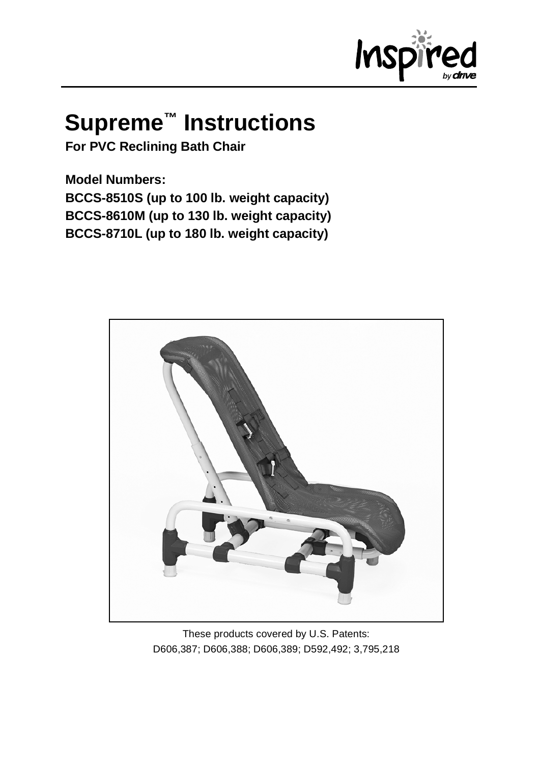

# **Supreme™ Instructions**

**For PVC Reclining Bath Chair**

**Model Numbers: BCCS-8510S (up to 100 lb. weight capacity) BCCS-8610M (up to 130 lb. weight capacity) BCCS-8710L (up to 180 lb. weight capacity)**



These products covered by U.S. Patents: D606,387; D606,388; D606,389; D592,492; 3,795,218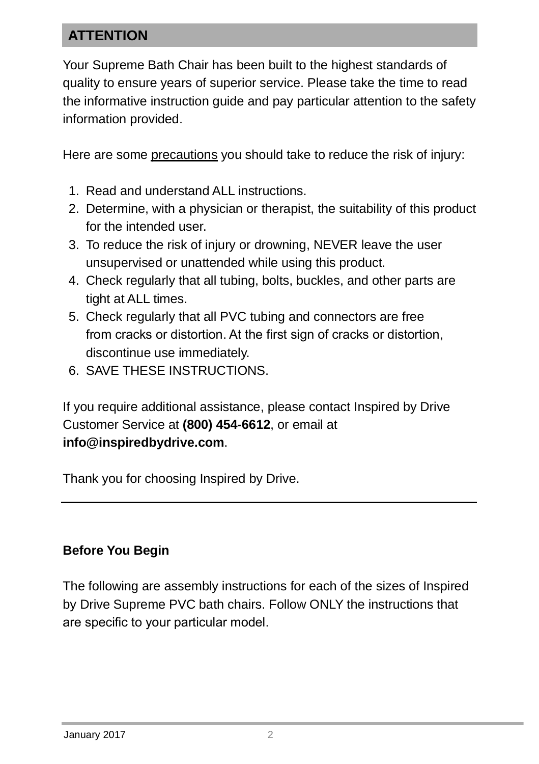## **ATTENTION**

Your Supreme Bath Chair has been built to the highest standards of quality to ensure years of superior service. Please take the time to read the informative instruction guide and pay particular attention to the safety information provided.

Here are some precautions you should take to reduce the risk of injury:

- 1. Read and understand ALL instructions.
- 2. Determine, with a physician or therapist, the suitability of this product for the intended user.
- 3. To reduce the risk of injury or drowning, NEVER leave the user unsupervised or unattended while using this product.
- 4. Check regularly that all tubing, bolts, buckles, and other parts are tight at ALL times.
- 5. Check regularly that all PVC tubing and connectors are free from cracks or distortion. At the first sign of cracks or distortion, discontinue use immediately.
- 6. SAVE THESE INSTRUCTIONS.

If you require additional assistance, please contact Inspired by Drive Customer Service at **(800) 454-6612**, or email at **[info@inspiredbydrive.com](mailto:info@inspiredbydrive.com)**.

Thank you for choosing Inspired by Drive.

#### **Before You Begin**

The following are assembly instructions for each of the sizes of Inspired by Drive Supreme PVC bath chairs. Follow ONLY the instructions that are specific to your particular model.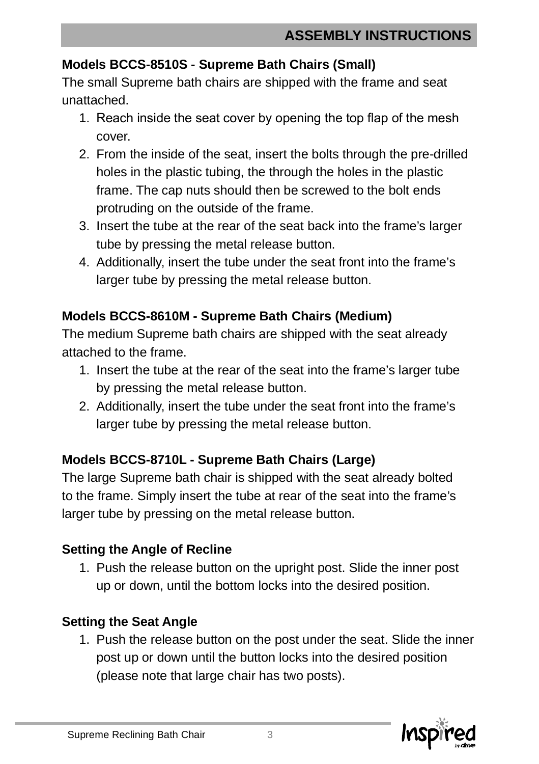#### **Models BCCS-8510S - Supreme Bath Chairs (Small)**

The small Supreme bath chairs are shipped with the frame and seat unattached.

- 1. Reach inside the seat cover by opening the top flap of the mesh cover.
- 2. From the inside of the seat, insert the bolts through the pre-drilled holes in the plastic tubing, the through the holes in the plastic frame. The cap nuts should then be screwed to the bolt ends protruding on the outside of the frame.
- 3. Insert the tube at the rear of the seat back into the frame's larger tube by pressing the metal release button.
- 4. Additionally, insert the tube under the seat front into the frame's larger tube by pressing the metal release button.

### **Models BCCS-8610M - Supreme Bath Chairs (Medium)**

The medium Supreme bath chairs are shipped with the seat already attached to the frame.

- 1. Insert the tube at the rear of the seat into the frame's larger tube by pressing the metal release button.
- 2. Additionally, insert the tube under the seat front into the frame's larger tube by pressing the metal release button.

#### **Models BCCS-8710L - Supreme Bath Chairs (Large)**

The large Supreme bath chair is shipped with the seat already bolted to the frame. Simply insert the tube at rear of the seat into the frame's larger tube by pressing on the metal release button.

#### **Setting the Angle of Recline**

1. Push the release button on the upright post. Slide the inner post up or down, until the bottom locks into the desired position.

#### **Setting the Seat Angle**

1. Push the release button on the post under the seat. Slide the inner post up or down until the button locks into the desired position (please note that large chair has two posts).